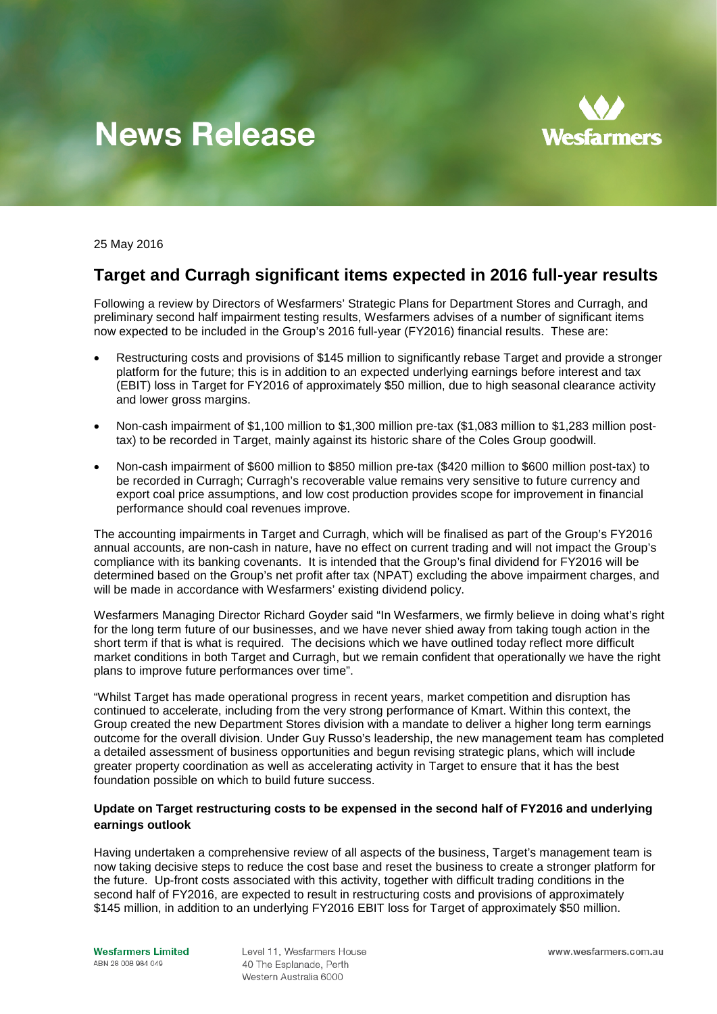# **News Release**



25 May 2016

# **Target and Curragh significant items expected in 2016 full-year results**

Following a review by Directors of Wesfarmers' Strategic Plans for Department Stores and Curragh, and preliminary second half impairment testing results, Wesfarmers advises of a number of significant items now expected to be included in the Group's 2016 full-year (FY2016) financial results. These are:

- Restructuring costs and provisions of \$145 million to significantly rebase Target and provide a stronger platform for the future; this is in addition to an expected underlying earnings before interest and tax (EBIT) loss in Target for FY2016 of approximately \$50 million, due to high seasonal clearance activity and lower gross margins.
- Non-cash impairment of \$1,100 million to \$1,300 million pre-tax (\$1,083 million to \$1,283 million posttax) to be recorded in Target, mainly against its historic share of the Coles Group goodwill.
- Non-cash impairment of \$600 million to \$850 million pre-tax (\$420 million to \$600 million post-tax) to be recorded in Curragh; Curragh's recoverable value remains very sensitive to future currency and export coal price assumptions, and low cost production provides scope for improvement in financial performance should coal revenues improve.

The accounting impairments in Target and Curragh, which will be finalised as part of the Group's FY2016 annual accounts, are non-cash in nature, have no effect on current trading and will not impact the Group's compliance with its banking covenants. It is intended that the Group's final dividend for FY2016 will be determined based on the Group's net profit after tax (NPAT) excluding the above impairment charges, and will be made in accordance with Wesfarmers' existing dividend policy.

Wesfarmers Managing Director Richard Goyder said "In Wesfarmers, we firmly believe in doing what's right for the long term future of our businesses, and we have never shied away from taking tough action in the short term if that is what is required. The decisions which we have outlined today reflect more difficult market conditions in both Target and Curragh, but we remain confident that operationally we have the right plans to improve future performances over time".

"Whilst Target has made operational progress in recent years, market competition and disruption has continued to accelerate, including from the very strong performance of Kmart. Within this context, the Group created the new Department Stores division with a mandate to deliver a higher long term earnings outcome for the overall division. Under Guy Russo's leadership, the new management team has completed a detailed assessment of business opportunities and begun revising strategic plans, which will include greater property coordination as well as accelerating activity in Target to ensure that it has the best foundation possible on which to build future success.

# **Update on Target restructuring costs to be expensed in the second half of FY2016 and underlying earnings outlook**

Having undertaken a comprehensive review of all aspects of the business, Target's management team is now taking decisive steps to reduce the cost base and reset the business to create a stronger platform for the future. Up-front costs associated with this activity, together with difficult trading conditions in the second half of FY2016, are expected to result in restructuring costs and provisions of approximately \$145 million, in addition to an underlying FY2016 EBIT loss for Target of approximately \$50 million.

Level 11, Wesfarmers House 40 The Esplanade, Perth Western Australia 6000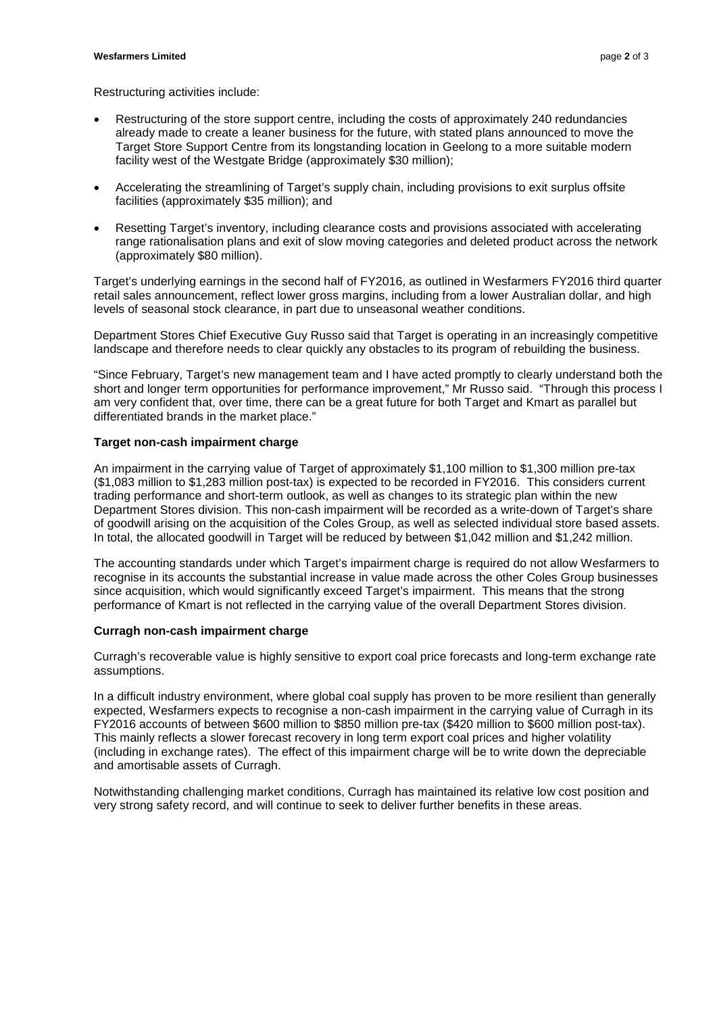#### **Wesfarmers Limited** page 2 of 3

Restructuring activities include:

- Restructuring of the store support centre, including the costs of approximately 240 redundancies already made to create a leaner business for the future, with stated plans announced to move the Target Store Support Centre from its longstanding location in Geelong to a more suitable modern facility west of the Westgate Bridge (approximately \$30 million);
- Accelerating the streamlining of Target's supply chain, including provisions to exit surplus offsite facilities (approximately \$35 million); and
- Resetting Target's inventory, including clearance costs and provisions associated with accelerating range rationalisation plans and exit of slow moving categories and deleted product across the network (approximately \$80 million).

Target's underlying earnings in the second half of FY2016, as outlined in Wesfarmers FY2016 third quarter retail sales announcement, reflect lower gross margins, including from a lower Australian dollar, and high levels of seasonal stock clearance, in part due to unseasonal weather conditions.

Department Stores Chief Executive Guy Russo said that Target is operating in an increasingly competitive landscape and therefore needs to clear quickly any obstacles to its program of rebuilding the business.

"Since February, Target's new management team and I have acted promptly to clearly understand both the short and longer term opportunities for performance improvement," Mr Russo said. "Through this process I am very confident that, over time, there can be a great future for both Target and Kmart as parallel but differentiated brands in the market place."

# **Target non-cash impairment charge**

An impairment in the carrying value of Target of approximately \$1,100 million to \$1,300 million pre-tax (\$1,083 million to \$1,283 million post-tax) is expected to be recorded in FY2016. This considers current trading performance and short-term outlook, as well as changes to its strategic plan within the new Department Stores division. This non-cash impairment will be recorded as a write-down of Target's share of goodwill arising on the acquisition of the Coles Group, as well as selected individual store based assets. In total, the allocated goodwill in Target will be reduced by between \$1,042 million and \$1,242 million.

The accounting standards under which Target's impairment charge is required do not allow Wesfarmers to recognise in its accounts the substantial increase in value made across the other Coles Group businesses since acquisition, which would significantly exceed Target's impairment. This means that the strong performance of Kmart is not reflected in the carrying value of the overall Department Stores division.

# **Curragh non-cash impairment charge**

Curragh's recoverable value is highly sensitive to export coal price forecasts and long-term exchange rate assumptions.

In a difficult industry environment, where global coal supply has proven to be more resilient than generally expected, Wesfarmers expects to recognise a non-cash impairment in the carrying value of Curragh in its FY2016 accounts of between \$600 million to \$850 million pre-tax (\$420 million to \$600 million post-tax). This mainly reflects a slower forecast recovery in long term export coal prices and higher volatility (including in exchange rates). The effect of this impairment charge will be to write down the depreciable and amortisable assets of Curragh.

Notwithstanding challenging market conditions, Curragh has maintained its relative low cost position and very strong safety record, and will continue to seek to deliver further benefits in these areas.